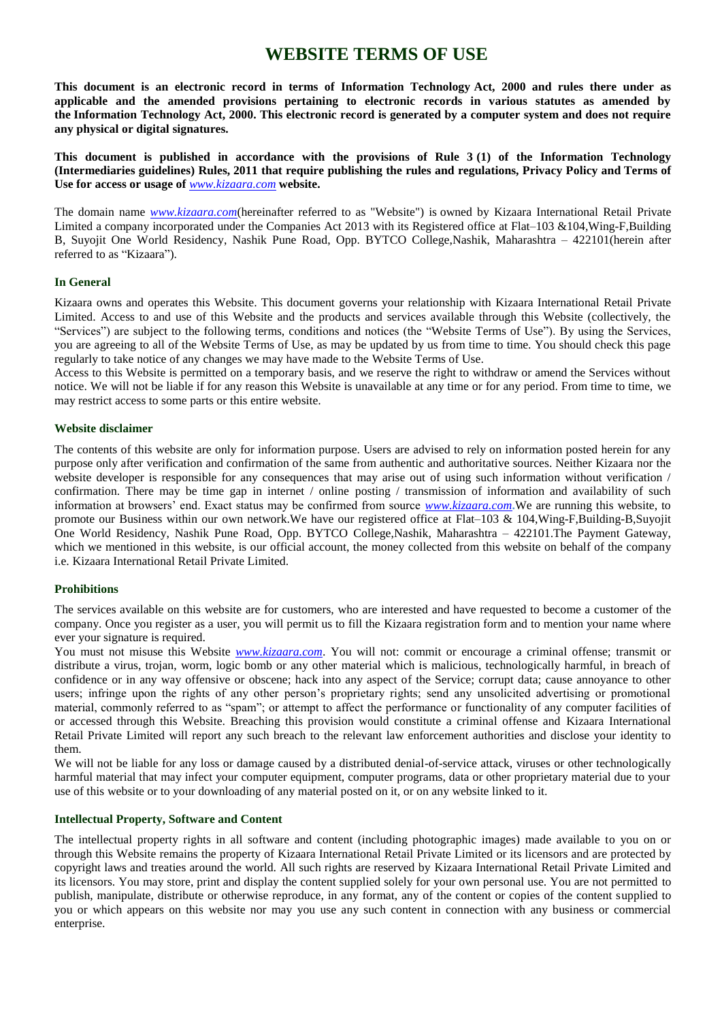# **WEBSITE TERMS OF USE**

**This document is an electronic record in terms of Information Technology Act, 2000 and rules there under as applicable and the amended provisions pertaining to electronic records in various statutes as amended by the Information Technology Act, 2000. This electronic record is generated by a computer system and does not require any physical or digital signatures.**

**This document is published in accordance with the provisions of Rule 3 (1) of the Information Technology (Intermediaries guidelines) Rules, 2011 that require publishing the rules and regulations, Privacy Policy and Terms of Use for access or usage of** *[www.kizaara.com](http://www.kizaara.com/)* **website.**

The domain name *[www.kizaara.com](http://www.kizaara.com/)*(hereinafter referred to as "Website") is owned by Kizaara International Retail Private Limited a company incorporated under the Companies Act 2013 with its Registered office at Flat–103 &104,Wing-F,Building B, Suyojit One World Residency, Nashik Pune Road, Opp. BYTCO College,Nashik, Maharashtra – 422101(herein after referred to as "Kizaara").

### **In General**

Kizaara owns and operates this Website. This document governs your relationship with Kizaara International Retail Private Limited. Access to and use of this Website and the products and services available through this Website (collectively, the "Services") are subject to the following terms, conditions and notices (the "Website Terms of Use"). By using the Services, you are agreeing to all of the Website Terms of Use, as may be updated by us from time to time. You should check this page regularly to take notice of any changes we may have made to the Website Terms of Use.

Access to this Website is permitted on a temporary basis, and we reserve the right to withdraw or amend the Services without notice. We will not be liable if for any reason this Website is unavailable at any time or for any period. From time to time, we may restrict access to some parts or this entire website.

### **Website disclaimer**

The contents of this website are only for information purpose. Users are advised to rely on information posted herein for any purpose only after verification and confirmation of the same from authentic and authoritative sources. Neither Kizaara nor the website developer is responsible for any consequences that may arise out of using such information without verification / confirmation. There may be time gap in internet / online posting / transmission of information and availability of such information at browsers" end. Exact status may be confirmed from source *[www.kizaara.com](http://www.kizaara.com/)***.**We are running this website, to promote our Business within our own network.We have our registered office at Flat–103 & 104,Wing-F,Building-B,Suyojit One World Residency, Nashik Pune Road, Opp. BYTCO College,Nashik, Maharashtra – 422101.The Payment Gateway, which we mentioned in this website, is our official account, the money collected from this website on behalf of the company i.e. Kizaara International Retail Private Limited.

### **Prohibitions**

The services available on this website are for customers, who are interested and have requested to become a customer of the company. Once you register as a user, you will permit us to fill the Kizaara registration form and to mention your name where ever your signature is required.

You must not misuse this Website *[www.kizaara.com](http://www.kizaara.com/)*. You will not: commit or encourage a criminal offense; transmit or distribute a virus, trojan, worm, logic bomb or any other material which is malicious, technologically harmful, in breach of confidence or in any way offensive or obscene; hack into any aspect of the Service; corrupt data; cause annoyance to other users; infringe upon the rights of any other person"s proprietary rights; send any unsolicited advertising or promotional material, commonly referred to as "spam"; or attempt to affect the performance or functionality of any computer facilities of or accessed through this Website. Breaching this provision would constitute a criminal offense and Kizaara International Retail Private Limited will report any such breach to the relevant law enforcement authorities and disclose your identity to them.

We will not be liable for any loss or damage caused by a distributed denial-of-service attack, viruses or other technologically harmful material that may infect your computer equipment, computer programs, data or other proprietary material due to your use of this website or to your downloading of any material posted on it, or on any website linked to it.

### **Intellectual Property, Software and Content**

The intellectual property rights in all software and content (including photographic images) made available to you on or through this Website remains the property of Kizaara International Retail Private Limited or its licensors and are protected by copyright laws and treaties around the world. All such rights are reserved by Kizaara International Retail Private Limited and its licensors. You may store, print and display the content supplied solely for your own personal use. You are not permitted to publish, manipulate, distribute or otherwise reproduce, in any format, any of the content or copies of the content supplied to you or which appears on this website nor may you use any such content in connection with any business or commercial enterprise.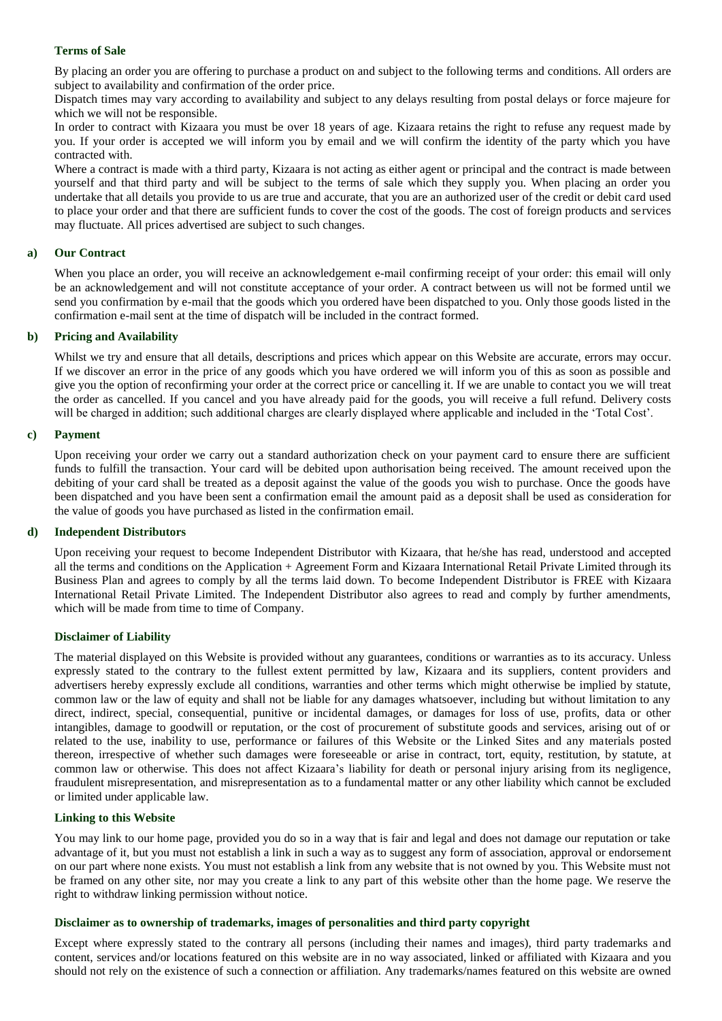### **Terms of Sale**

By placing an order you are offering to purchase a product on and subject to the following terms and conditions. All orders are subject to availability and confirmation of the order price.

Dispatch times may vary according to availability and subject to any delays resulting from postal delays or force majeure for which we will not be responsible.

In order to contract with Kizaara you must be over 18 years of age. Kizaara retains the right to refuse any request made by you. If your order is accepted we will inform you by email and we will confirm the identity of the party which you have contracted with.

Where a contract is made with a third party, Kizaara is not acting as either agent or principal and the contract is made between yourself and that third party and will be subject to the terms of sale which they supply you. When placing an order you undertake that all details you provide to us are true and accurate, that you are an authorized user of the credit or debit card used to place your order and that there are sufficient funds to cover the cost of the goods. The cost of foreign products and services may fluctuate. All prices advertised are subject to such changes.

### **a) Our Contract**

When you place an order, you will receive an acknowledgement e-mail confirming receipt of your order: this email will only be an acknowledgement and will not constitute acceptance of your order. A contract between us will not be formed until we send you confirmation by e-mail that the goods which you ordered have been dispatched to you. Only those goods listed in the confirmation e-mail sent at the time of dispatch will be included in the contract formed.

### **b) Pricing and Availability**

Whilst we try and ensure that all details, descriptions and prices which appear on this Website are accurate, errors may occur. If we discover an error in the price of any goods which you have ordered we will inform you of this as soon as possible and give you the option of reconfirming your order at the correct price or cancelling it. If we are unable to contact you we will treat the order as cancelled. If you cancel and you have already paid for the goods, you will receive a full refund. Delivery costs will be charged in addition; such additional charges are clearly displayed where applicable and included in the 'Total Cost'.

### **c) Payment**

Upon receiving your order we carry out a standard authorization check on your payment card to ensure there are sufficient funds to fulfill the transaction. Your card will be debited upon authorisation being received. The amount received upon the debiting of your card shall be treated as a deposit against the value of the goods you wish to purchase. Once the goods have been dispatched and you have been sent a confirmation email the amount paid as a deposit shall be used as consideration for the value of goods you have purchased as listed in the confirmation email.

### **d) Independent Distributors**

Upon receiving your request to become Independent Distributor with Kizaara, that he/she has read, understood and accepted all the terms and conditions on the Application + Agreement Form and Kizaara International Retail Private Limited through its Business Plan and agrees to comply by all the terms laid down. To become Independent Distributor is FREE with Kizaara International Retail Private Limited. The Independent Distributor also agrees to read and comply by further amendments, which will be made from time to time of Company.

### **Disclaimer of Liability**

The material displayed on this Website is provided without any guarantees, conditions or warranties as to its accuracy. Unless expressly stated to the contrary to the fullest extent permitted by law, Kizaara and its suppliers, content providers and advertisers hereby expressly exclude all conditions, warranties and other terms which might otherwise be implied by statute, common law or the law of equity and shall not be liable for any damages whatsoever, including but without limitation to any direct, indirect, special, consequential, punitive or incidental damages, or damages for loss of use, profits, data or other intangibles, damage to goodwill or reputation, or the cost of procurement of substitute goods and services, arising out of or related to the use, inability to use, performance or failures of this Website or the Linked Sites and any materials posted thereon, irrespective of whether such damages were foreseeable or arise in contract, tort, equity, restitution, by statute, at common law or otherwise. This does not affect Kizaara"s liability for death or personal injury arising from its negligence, fraudulent misrepresentation, and misrepresentation as to a fundamental matter or any other liability which cannot be excluded or limited under applicable law.

### **Linking to this Website**

You may link to our home page, provided you do so in a way that is fair and legal and does not damage our reputation or take advantage of it, but you must not establish a link in such a way as to suggest any form of association, approval or endorsement on our part where none exists. You must not establish a link from any website that is not owned by you. This Website must not be framed on any other site, nor may you create a link to any part of this website other than the home page. We reserve the right to withdraw linking permission without notice.

### **Disclaimer as to ownership of trademarks, images of personalities and third party copyright**

Except where expressly stated to the contrary all persons (including their names and images), third party trademarks and content, services and/or locations featured on this website are in no way associated, linked or affiliated with Kizaara and you should not rely on the existence of such a connection or affiliation. Any trademarks/names featured on this website are owned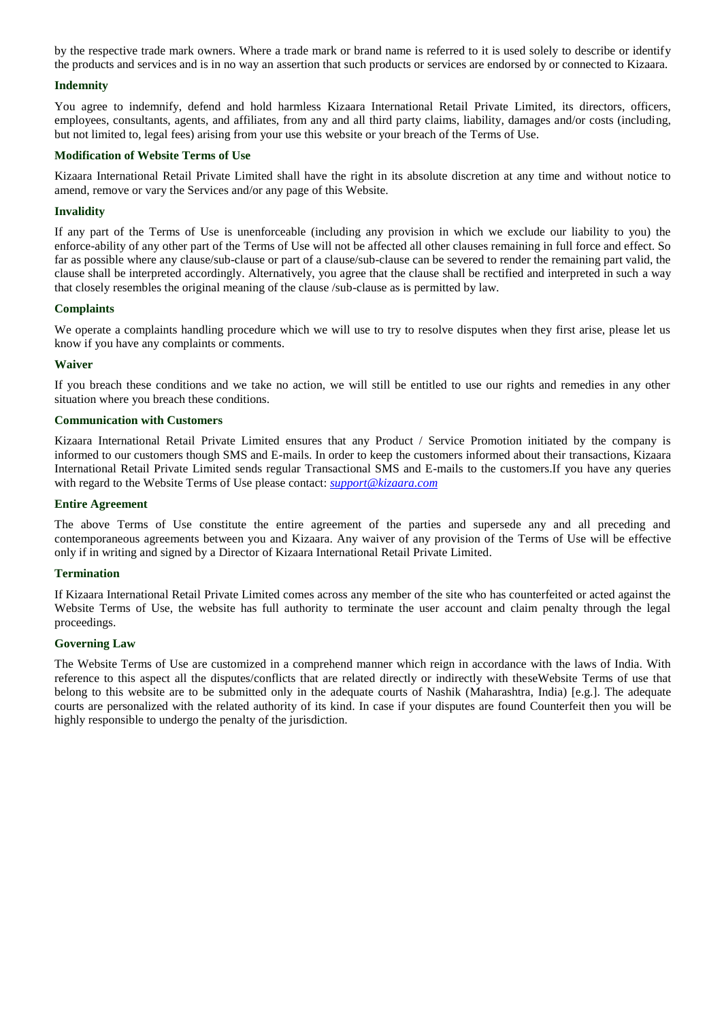by the respective trade mark owners. Where a trade mark or brand name is referred to it is used solely to describe or identify the products and services and is in no way an assertion that such products or services are endorsed by or connected to Kizaara.

### **Indemnity**

You agree to indemnify, defend and hold harmless Kizaara International Retail Private Limited, its directors, officers, employees, consultants, agents, and affiliates, from any and all third party claims, liability, damages and/or costs (including, but not limited to, legal fees) arising from your use this website or your breach of the Terms of Use.

### **Modification of Website Terms of Use**

Kizaara International Retail Private Limited shall have the right in its absolute discretion at any time and without notice to amend, remove or vary the Services and/or any page of this Website.

### **Invalidity**

If any part of the Terms of Use is unenforceable (including any provision in which we exclude our liability to you) the enforce-ability of any other part of the Terms of Use will not be affected all other clauses remaining in full force and effect. So far as possible where any clause/sub-clause or part of a clause/sub-clause can be severed to render the remaining part valid, the clause shall be interpreted accordingly. Alternatively, you agree that the clause shall be rectified and interpreted in such a way that closely resembles the original meaning of the clause /sub-clause as is permitted by law.

### **Complaints**

We operate a complaints handling procedure which we will use to try to resolve disputes when they first arise, please let us know if you have any complaints or comments.

### **Waiver**

If you breach these conditions and we take no action, we will still be entitled to use our rights and remedies in any other situation where you breach these conditions.

### **Communication with Customers**

Kizaara International Retail Private Limited ensures that any Product / Service Promotion initiated by the company is informed to our customers though SMS and E-mails. In order to keep the customers informed about their transactions, Kizaara International Retail Private Limited sends regular Transactional SMS and E-mails to the customers.If you have any queries with regard to the Website Terms of Use please contact: *[support@kizaara.com](mailto:info@kizaara.com)*

### **Entire Agreement**

The above Terms of Use constitute the entire agreement of the parties and supersede any and all preceding and contemporaneous agreements between you and Kizaara. Any waiver of any provision of the Terms of Use will be effective only if in writing and signed by a Director of Kizaara International Retail Private Limited.

### **Termination**

If Kizaara International Retail Private Limited comes across any member of the site who has counterfeited or acted against the Website Terms of Use, the website has full authority to terminate the user account and claim penalty through the legal proceedings.

### **Governing Law**

The Website Terms of Use are customized in a comprehend manner which reign in accordance with the laws of India. With reference to this aspect all the disputes/conflicts that are related directly or indirectly with theseWebsite Terms of use that belong to this website are to be submitted only in the adequate courts of Nashik (Maharashtra, India) [e.g.]. The adequate courts are personalized with the related authority of its kind. In case if your disputes are found Counterfeit then you will be highly responsible to undergo the penalty of the jurisdiction.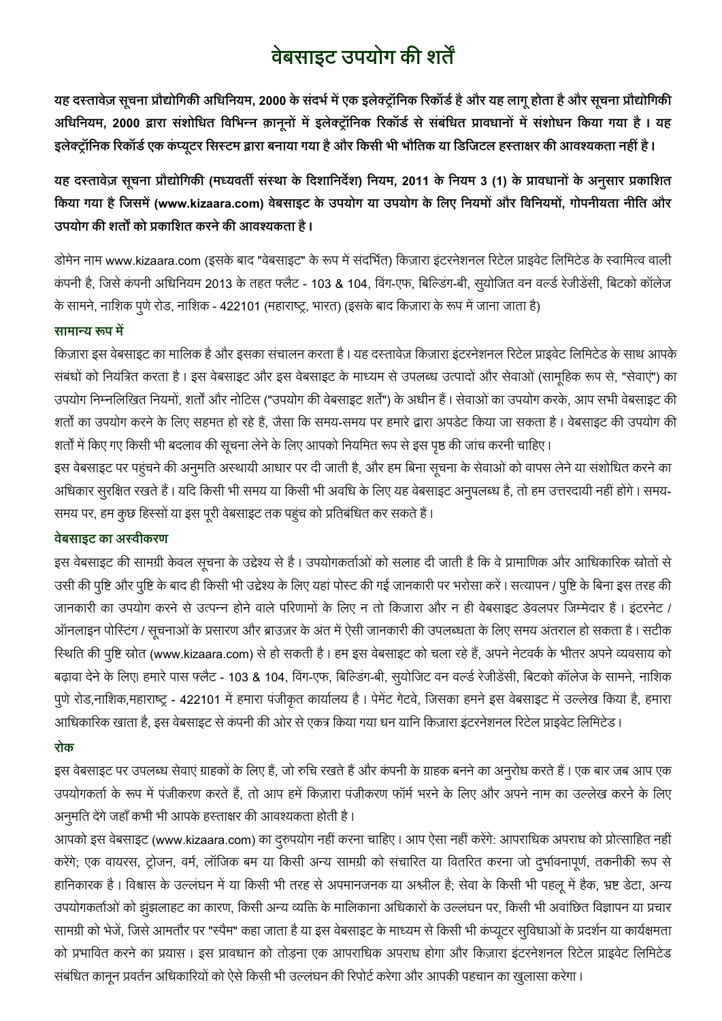# **वेबसाइट उपयोग की शर्तें**

यह दस्तावेज़ सूचना प्रौद्योगिकी अधिनियम, 2000 के संदर्भ में एक इलेक्ट्रॉनिक रिकॉर्ड है और यह लागू होता है और सूचना प्रौद्योगिकी अधिनियम, 2000 द्वारा संशोधित विभिन्न क़ानूनों में इलेक्ट्रॉनिक रिकॉर्ड से संबंधित प्रावधानों में संशोधन किया गया है। यह इलेक्ट्रॉनिक रिकॉर्ड एक कंप्यूटर सिस्टम द्वारा बनाया गया है और किसी भी भौतिक या डिजिटल हस्ताक्षर की आवश्यकता नहीं है **।** 

यह दस्तावेज़ सूचना प्रौद्योगिकी (मध्यवर्ती संस्था के दिशानिर्देश) नियम, 2011 के नियम 3 (1) के प्रावधानों के अनुसार प्रकाशित किया गया है जिसमें (www.kizaara.com) वेबसाइट के उपयोग या उपयोग के लिए नियमों और विनियमों, गोपनीयता नीति और <u> उपयोग की शर्तों को प्रकाशित करने की आवश्यकता है ।</u>

डोमेन नाम www.kizaara.com (इसके बाद "वेबसाइट" के रूप में संदर्भित) किज़ारा इंटरनेशनल रिटेल प्राइवेट लिमिटेड के स्वामित्व वाली कंपनी है, जिसे कंपनी अधिनियम 2013 के तहत फ्लैट - 103 & 104, विंग-एफ, बिल्डिंग-बी, सूयोजित वन वर्ल्ड रेजीडेंसी, बिटको कॉलेज के सामने, नाशिक पुणे रोड, नाशिक - 422101 (महाराष्ट्र, भारत) (इसके बाद किज़ारा के रूप में जाना जाता है)

### सामान्य रूप में

किज़ारा इस वेबसाइट का मालिक है और इसका संचालन करता है। यह दस्तावेज़ किज़ारा इंटरनेशनल रिटेल प्राइवेट लिमिटेड के साथ आपके संबंधों को नियंत्रित करता है। इस वेबसाइट और इस वेबसाइट के माध्यम से उपलब्ध उत्पादों और सेवाओं (सामूहिक रूप से, "सेवाएं") का उपयोग निम्नलिखित नियमों, शर्तों और नोटिस ("उपयोग की वेबसाइट शर्तें") के अधीन हैं। सेवाओं का उपयोग करके, आप सभी वेबसाइट की शर्तों का उपयोग करने के लिए सहमत हो रहे हैं, जैसा कि समय-समय पर हमारे द्वारा अपडेट किया जा सकता है। वेबसाइट की उपयोग की शर्तों में किए गए किसी भी बदलाव की सूचना लेने के लिए आपको नियमित रूप से इस पृष्ठ की जांच करनी चाहिए ।

इस वेबसाइट पर पहुंचने की अनुमति अस्थायी आधार पर दी जाती है, और हम बिना सूचना के सेवाओं को वापस लेने या संशोधित करने का अधिकार सुरक्षित रखते हैं। यदि किसी भी समय या किसी भी अवधि के लिए यह वेबसाइट अनुपलब्ध है, तो हम उत्तरदायी नहीं होंगे। समय-समय पर, हम कुछ हिस्सों या इस पूरी वेबसाइट तक पहुंच को प्रतिबंधित कर सकते हैं।

### **वेबसाइट का अ**स्वीकरण

इस वेबसाइट की सामग्री केवल सूचना के उद्देश्य से है। उपयोगकर्ताओं को सलाह दी जाती है कि वे प्रामाणिक और आधिकारिक स्रोतों से उसी की पुष्टि और पुष्टि के बाद ही किसी भी उद्देश्य के लिए यहां पोस्ट की गई जानकारी पर भरोसा करें। सत्यापन / पुष्टि के बिना इस तरह की जानकारी का उपयोग करने से उत्पन्न होने वाले परिणामों के लिए न तो किजारा और न ही वेबसाइट डेवलपर जिम्मेदार हैं। इटरनेट / ऑनलाइन पोस्टिंग / सूचनाओं के प्रसारण और ब्राउज़र के अंत में ऐसी जानकारी की उपलब्धता के लिए समय अंतराल हो सकता है। सटीक रिथति की पृष्टि स्रोत (www.kizaara.com) से हो सकती है। हम इस वेबसाइट को चला रहे हैं, अपने नेटवर्क के भीतर अपने व्यवसाय को बढ़ावा देने के लिए। हमारे पास फ्लैट - 103 & 104, विंग-एफ, बिल्डिंग-बी, सुयोजिट वन वर्ल्ड रेजीडेंसी, बिटको कॉलेज के सामने, नाशिक पूणे रोड,नाशिक,महाराष्ट्र - 422101 में हमारा पंजीकृत कार्यालय है। पेमेंट गेटवे, जिसका हमने इस वेबसाइट में उल्लेख किया है, हमारा आधिकारिक खाता है, इस वेबसाइट से कंपनी की ओर से एकत्र किया गया धन यानि किज़ारा इंटरनेशनल रिटेल प्राइवेट लिमिटेड।

### 

इस वेबसाइट पर उपलब्ध सेवाएं ग्राहकों के लिए हैं, जो रुचि रखते हैं और कंपनी के ग्राहक बनने का अनूरोध करते हैं। एक बार जब आप एक उपयोगकर्ता के रूप में पंजीकरण करते हैं, तो आप हमें किज़ारा पंजीकरण फॉर्म भरने के लिए और अपने नाम का उल्लेख करने के लिए अनुमति देंगे जहाँ कभी भी आपके हस्ताक्षर की आवश्यकता होती है।

आपको इस वेबसाइट (www.kizaara.com) का दुरुपयोग नहीं करना चाहिए। आप ऐसा नहीं करेंगे: आपराधिक अपराध को प्रोत्साहित नहीं करेंगे; एक वायरस, ट्रोजन, वर्म, लॉजिक बम या किसी अन्य सामग्री को संचारित या वितरित करना जो दुर्भावनापूर्ण, तकनीकी रूप से हानिकारक है। विश्वास के उल्लंघन में या किसी भी तरह से अपमानजनक या अश्लील है; सेवा के किसी भी पहलू में हैक, भ्रष्ट डेटा, अन्य उपयोगकर्ताओं को झुंझलाहट का कारण, किसी अन्य व्यक्ति के मालिकाना अधिकारों के उल्लंघन पर, किसी भी अवांछित विज्ञापन या प्रचार सामग्री को भेजें, जिसे आमतौर पर "स्पैम" कहा जाता है या इस वेबसाइट के माध्यम से किसी भी कंप्यूटर सुविधाओं के प्रदर्शन या कार्यक्षमता को प्रभावित करने का प्रयास। इस प्रावधान को तोड़ना एक आपराधिक अपराध होगा और किज़ारा इंटरनेशनल रिटेल प्राइवेट लिमिटेड संबंधित कानून प्रवर्तन अधिकारियों को ऐसे किसी भी उल्लंघन की रिपोर्ट करेगा और आपकी पहचान का खुलासा करेगा।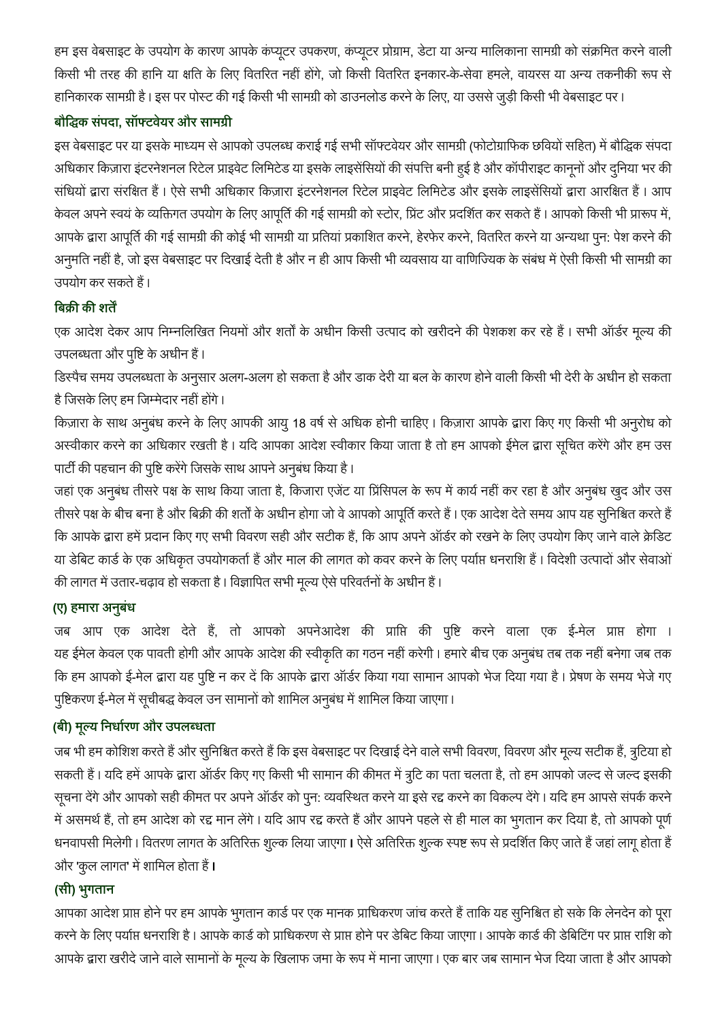हम इस वेबसाइट के उपयोग के कारण आपके कंप्यूटर उपकरण, कंप्यूटर प्रोग्राम, डेटा या अन्य मालिकाना सामग्री को संक्रमित करने वाली किसी भी तरह की हानि या क्षति के लिए वितरित नहीं होंगे, जो किसी वितरित इनकार-के-सेवा हमले, वायरस या अन्य तकनीकी रूप से हानिकारक सामग्री है। इस पर पोस्ट की गई किसी भी सामग्री को डाउनलोड करने के लिए, या उससे जुड़ी किसी भी वेबसाइट पर।

## **, औ**

इस वेबसाइट पर या इसके माध्यम से आपको उपलब्ध कराई गई सभी सॉफ्टवेयर और सामग्री (फोटोग्राफिक छवियों सहित) में बौद्धिक संपदा अधिकार किज़ारा इंटरनेशनल रिटेल प्राइवेट लिमिटेड या इसके लाइसेंसियों की संपत्ति बनी हुई है और कॉपीराइट कानूनों और दुनिया भर की संधियों द्वारा संरक्षित हैं। ऐसे सभी अधिकार किज़ारा इंटरनेशनल रिटेल प्राइवेट लिमिटेड और इसके लाइसेंसियों द्वारा आरक्षित हैं। आप केवल अपने स्वयं के व्यक्तिगत उपयोग के लिए आपूर्ति की गई सामग्री को स्टोर, प्रिंट और प्रदर्शित कर सकते हैं। आपको किसी भी प्रारूप में, आपके द्वारा आपूर्ति की गई सामग्री की कोई भी सामग्री या प्रतियां प्रकाशित करने, हेरफेर करने, वितरित करने या अन्यथा पुन: पेश करने की अनुमति नहीं है, जो इस वेबसाइट पर दिखाई देती है और न ही आप किसी भी व्यवसाय या वाणिज्यिक के संबंध में ऐसी किसी भी सामग्री का उपयोग कर सकते हैं।

# <u>बिक्री की शर्तें</u>

एक आदेश देकर आप निम्नलिखित नियमों और शर्तों के अधीन किसी उत्पाद को खरीदने की पेशकश कर रहे हैं। सभी ऑर्डर मूल्य की उपलब्धता और पृष्टि के अधीन हैं।

डिस्पैच समय उपलब्धता के अनुसार अलग-अलग हो सकता है और डाक देरी या बल के कारण होने वाली किसी भी देरी के अधीन हो सकता है जिसके लिए हम जिम्मेदार नहीं होंगे।

किज़ारा के साथ अनुबंध करने के लिए आपकी आयु 18 वर्ष से अधिक होनी चाहिए। किज़ारा आपके द्वारा किए गए किसी भी अनुरोध को अस्वीकार करने का अधिकार रखती है। यदि आपका आदेश स्वीकार किया जाता है तो हम आपको ईमेल द्वारा सूचित करेंगे और हम उस पार्टी की पहचान की पुष्टि करेंगे जिसके साथ आपने अनुबंध किया है।

जहां एक अनुबंध तीसरे पक्ष के साथ किया जाता है, किजारा एजेंट या प्रिंसिपल के रूप में कार्य नहीं कर रहा है और अनुबंध खुद और उस तीसरे पक्ष के बीच बना है और बिक्री की शर्तों के अधीन होगा जो वे आपको आपूर्ति करते हैं। एक आदेश देते समय आप यह सुनिश्चित करते हैं कि आपके द्वारा हमें प्रदान किए गए सभी विवरण सही और सटीक हैं, कि आप अपने ऑर्डर को रखने के लिए उपयोग किए जाने वाले क्रेडिट या डेबिट कार्ड के एक अधिकृत उपयोगकर्ता हैं और माल की लागत को कवर करने के लिए पर्याप्त धनराशि हैं। विदेशी उत्पादों और सेवाओं की लागत में उतार-चढ़ाव हो सकता है। विज्ञापित सभी मूल्य ऐसे परिवर्तनों के अधीन हैं।

# **(ए) ह**

जब आप एक आदेश देते हैं, तो आपको अपनेआदेश की प्राप्ति की पुष्टि करने वाला एक ई-मेल प्राप्त होगा । यह ईमेल केवल एक पावती होगी और आपके आदेश की स्वीकृति का गठन नहीं करेगी । हमारे बीच एक अनुबंध तब तक नहीं बनेगा जब तक कि हम आपको ई-मेल द्वारा यह पुष्टि न कर दें कि आपके द्वारा ऑर्डर किया गया सामान आपको भेज दिया गया है। प्रेषण के समय भेजे गए पुष्टिकरण ई-मेल में सूचीबद्ध केवल उन सामानों को शामिल अनुबंध में शामिल किया जाएगा।

# **( ) औ**

जब भी हम कोशिश करते हैं और सुनिश्चित करते हैं कि इस वेबसाइट पर दिखाई देने वाले सभी विवरण, विवरण और मूल्य सटीक हैं, त्रुटिया हो सकती हैं। यदि हमें आपके द्वारा ऑर्डर किए गए किसी भी सामान की कीमत में त्रुटि का पता चलता है, तो हम आपको जल्द से जल्द इसकी सूचना देंगे और आपको सही कीमत पर अपने ऑर्डर को पून: व्यवस्थित करने या इसे रद्द करने का विकल्प देंगे। यदि हम आपसे संपर्क करने में असमर्थ हैं, तो हम आदेश को रद्द मान लेंगे। यदि आप रद्द करते हैं और आपने पहले से ही माल का भूगतान कर दिया है, तो आपको पूर्ण धनवापसी मिलेगी। वितरण लागत के अतिरिक्त शुल्क लिया जाएगा। ऐसे अतिरिक्त शुल्क स्पष्ट रूप से प्रदर्शित किए जाते हैं जहां लागू होता हैं और 'कुल लागत' में शामिल होता हैं **।** 

# **( )**

आपका आदेश प्राप्त होने पर हम आपके भूगतान कार्ड पर एक मानक प्राधिकरण जांच करते हैं ताकि यह सूनिश्चित हो सके कि लेनदेन को पूरा करने के लिए पर्याप्त धनराशि है। आपके कार्ड को प्राधिकरण से प्राप्त होने पर डेबिट किया जाएगा। आपके कार्ड की डेबिटिंग पर प्राप्त राशि को आपके द्वारा खरीदे जाने वाले सामानों के मूल्य के खिलाफ जमा के रूप में माना जाएगा। एक बार जब सामान भेज दिया जाता है और आपको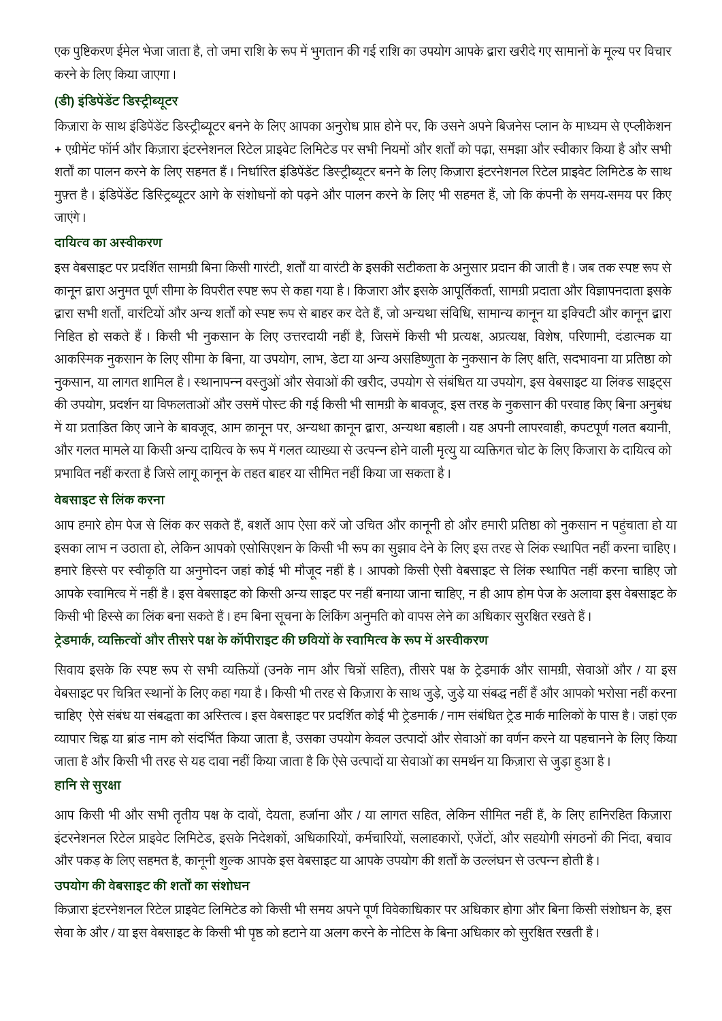एक पुष्टिकरण ईमेल भेजा जाता है, तो जमा राशि के रूप में भुगतान की गई राशि का उपयोग आपके द्वारा खरीदे गए सामानों के मूल्य पर विचार करने के लिए किया जाएगा।

# **( )**

किज़ारा के साथ इंडिपेंडेंट डिस्ट्रीब्यूटर बनने के लिए आपका अनुरोध प्राप्त होने पर, कि उसने अपने बिजनेस प्लान के माध्यम से एप्लीकेशन + एग्रीमेंट फॉर्म और किज़ारा इंटरनेशनल रिटेल प्राइवेट लिमिटेड पर सभी नियमों और शर्तों को पढ़ा, समझा और स्वीकार किया है और सभी शर्तों का पालन करने के लिए सहमत हैं। निर्धारित इंडिपेंडेंट डिस्ट्रीब्यूटर बनने के लिए किज़ारा इंटरनेशनल रिटेल प्राइवेट लिमिटेड के साथ मुफ़्त है। इंडिपेंडेंट डिस्ट्रिब्यूटर आगे के संशोधनों को पढ़ने और पालन करने के लिए भी सहमत हैं, जो कि कंपनी के समय-समय पर किए जाएंगे।

# दायित्व का अस्वीकरण

इस वेबसाइट पर प्रदर्शित सामग्री बिना किसी गारंटी, शर्तों या वारंटी के इसकी सटीकता के अनुसार प्रदान की जाती है। जब तक स्पष्ट रूप से कानून द्वारा अनुमत पूर्ण सीमा के विपरीत स्पष्ट रूप से कहा गया है। किजारा और इसके आपूर्तिकर्ता, सामग्री प्रदाता और विज्ञापनदाता इसके द्वारा सभी शर्तों, वारंटियों और अन्य शर्तों को स्पष्ट रूप से बाहर कर देते हैं, जो अन्यथा संविधि, सामान्य कानून या इक्विटी और कानून द्वारा निहित हो सकते हैं। किसी भी नुकसान के लिए उत्तरदायी नहीं है, जिसमें किसी भी प्रत्यक्ष, अप्रत्यक्ष, विशेष, परिणामी, दंडात्मक या आकरिमक नुकसान के लिए सीमा के बिना, या उपयोग, लाभ, डेटा या अन्य असहिष्णुता के नुकसान के लिए क्षति, सदभावना या प्रतिष्ठा को नुकसान, या लागत शामिल है। स्थानापन्न वस्तुओं और सेवाओं की खरीद, उपयोग से संबंधित या उपयोग, इस वेबसाइट या लिंक्ड साइट्स की उपयोग, प्रदर्शन या विफलताओं और उसमें पोस्ट की गई किसी भी सामग्री के बावजूद, इस तरह के नुकसान की परवाह किए बिना अनुबंध में या प्रताडि़त किए जाने के बावजूद, आम क़ानून पर, अन्यथा क़ानून द्वारा, अन्यथा बहाली। यह अपनी लापरवाही, कपटपूर्ण गलत बयानी, और गलत मामले या किसी अन्य दायित्व के रूप में गलत व्याख्या से उत्पन्न होने वाली मृत्यु या व्यक्तिगत चोट के लिए किजारा के दायित्व को प्रभावित नहीं करता है जिसे लागू कानून के तहत बाहर या सीमित नहीं किया जा सकता है।

# <u>वेबसाइट से लिंक करना</u>

आप हमारे होम पेज से लिंक कर सकते हैं, बशर्ते आप ऐसा करें जो उचित और काननी हो और हमारी प्रतिष्ठा को नुकसान न पहंचाता हो या इसका लाभ न उठाता हो, लेकिन आपको एसोसिएशन के किसी भी रूप का सुझाव देने के लिए इस तरह से लिंक स्थापित नहीं करना चाहिए। हमारे हिस्से पर स्वीकृति या अनुमोदन जहां कोई भी मौजूद नहीं है। आपको किसी ऐसी वेबसाइट से लिंक स्थापित नहीं करना चाहिए जो आपके स्वामित्व में नहीं है। इस वेबसाइट को किसी अन्य साइट पर नहीं बनाया जाना चाहिए, न ही आप होम पेज के अलावा इस वेबसाइट के किसी भी हिस्से का लिंक बना सकते हैं। हम बिना सूचना के लिंकिंग अनुमति को वापस लेने का अधिकार सुरक्षित रखते हैं।

# टे़डमार्क, व्यक्तित्वों और तीसरे पक्ष के कॉपीराइट की छवियों के स्वामित्व के रूप में अस्वीकरण

सिवाय इसके कि स्पष्ट रूप से सभी व्यक्तियों (उनके नाम और चित्रों सहित), तीसरे पक्ष के ट्रेडमार्क और सामग्री, सेवाओं और / या इस वेबसाइट पर चित्रित स्थानों के लिए कहा गया है। किसी भी तरह से किज़ारा के साथ जुड़े, जुड़े या संबद्ध नहीं हैं और आपको भरोसा नहीं करना चाहिए) ऐसे संबंध या संबद्धता का अस्तित्व । इस वेबसाइट पर प्रदर्शित कोई भी ट्रेडमार्क / नाम संबंधित ट्रेड मार्क मालिकों के पास है । जहां एक व्यापार चिह्न या ब्रांड नाम को संदर्भित किया जाता है, उसका उपयोग केवल उत्पादों और सेवाओं का वर्णन करने या पहचानने के लिए किया जाता है और किसी भी तरह से यह दावा नहीं किया जाता है कि ऐसे उत्पादों या सेवाओं का समर्थन या किज़ारा से जुड़ा हुआ है।

# हानि से सुरक्षा

आप किसी भी और सभी तृतीय पक्ष के दावों, देयता, हर्जाना और / या लागत सहित, लेकिन सीमित नहीं हैं, के लिए हानिरहित किज़ारा इंटरनेशनल रिटेल प्राइवेट लिमिटेड, इसके निदेशकों, अधिकारियों, कर्मचारियों, सलाहकारों, एजेंटों, और सहयोगी संगठनों की निंदा, बचाव और पकड़ के लिए सहमत है, कानूनी शुल्क आपके इस वेबसाइट या आपके उपयोग की शर्तों के उल्लंघन से उत्पन्न होती है।

# उपयोग की वेबसाइट की शर्तों का संशोधन

किज़ारा इंटरनेशनल रिटेल प्राइवेट लिमिटेड को किसी भी समय अपने पूर्ण विवेकाधिकार पर अधिकार होगा और बिना किसी संशोधन के, इस सेवा के और / या इस वेबसाइट के किसी भी पृष्ठ को हटाने या अलग करने के नोटिस के बिना अधिकार को सुरक्षित रखती है।